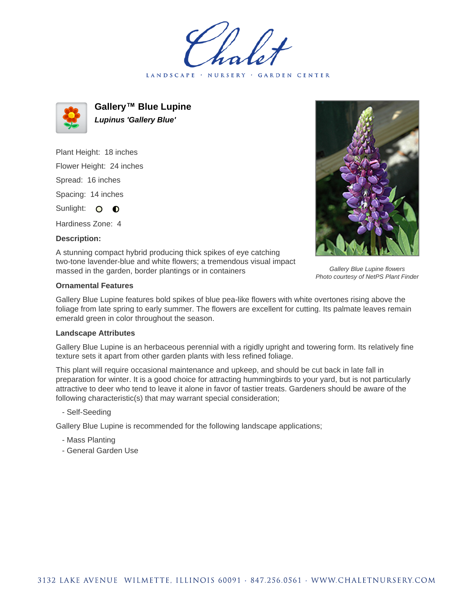LANDSCAPE · NURSERY · GARDEN CENTER



**Gallery™ Blue Lupine Lupinus 'Gallery Blue'**

Plant Height: 18 inches Flower Height: 24 inches Spread: 16 inches Spacing: 14 inches Sunlight: O **O** 

Hardiness Zone: 4

**Description:**



Gallery Blue Lupine flowers Photo courtesy of NetPS Plant Finder

A stunning compact hybrid producing thick spikes of eye catching two-tone lavender-blue and white flowers; a tremendous visual impact massed in the garden, border plantings or in containers

## **Ornamental Features**

Gallery Blue Lupine features bold spikes of blue pea-like flowers with white overtones rising above the foliage from late spring to early summer. The flowers are excellent for cutting. Its palmate leaves remain emerald green in color throughout the season.

## **Landscape Attributes**

Gallery Blue Lupine is an herbaceous perennial with a rigidly upright and towering form. Its relatively fine texture sets it apart from other garden plants with less refined foliage.

This plant will require occasional maintenance and upkeep, and should be cut back in late fall in preparation for winter. It is a good choice for attracting hummingbirds to your yard, but is not particularly attractive to deer who tend to leave it alone in favor of tastier treats. Gardeners should be aware of the following characteristic(s) that may warrant special consideration;

- Self-Seeding

Gallery Blue Lupine is recommended for the following landscape applications;

- Mass Planting
- General Garden Use